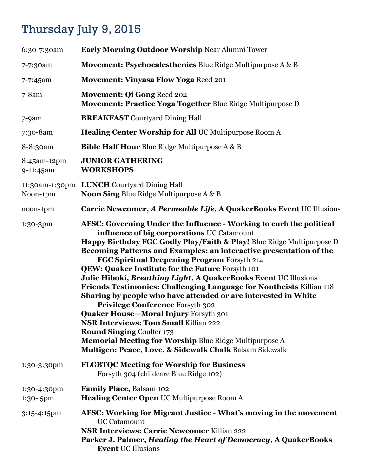## Thursday July 9, 2015

| 6:30-7:30am              | <b>Early Morning Outdoor Worship Near Alumni Tower</b>                                                                                                                                                                                                                                                                                                                                                                                                                                                                                                                                                                                                                                                                                                                                                                                                                               |
|--------------------------|--------------------------------------------------------------------------------------------------------------------------------------------------------------------------------------------------------------------------------------------------------------------------------------------------------------------------------------------------------------------------------------------------------------------------------------------------------------------------------------------------------------------------------------------------------------------------------------------------------------------------------------------------------------------------------------------------------------------------------------------------------------------------------------------------------------------------------------------------------------------------------------|
| 7-7:30am                 | Movement: Psychocalesthenics Blue Ridge Multipurpose A & B                                                                                                                                                                                                                                                                                                                                                                                                                                                                                                                                                                                                                                                                                                                                                                                                                           |
| 7-7:45am                 | <b>Movement: Vinyasa Flow Yoga Reed 201</b>                                                                                                                                                                                                                                                                                                                                                                                                                                                                                                                                                                                                                                                                                                                                                                                                                                          |
| $7 - 8$ am               | <b>Movement: Qi Gong Reed 202</b><br>Movement: Practice Yoga Together Blue Ridge Multipurpose D                                                                                                                                                                                                                                                                                                                                                                                                                                                                                                                                                                                                                                                                                                                                                                                      |
| $7-9am$                  | <b>BREAKFAST</b> Courtyard Dining Hall                                                                                                                                                                                                                                                                                                                                                                                                                                                                                                                                                                                                                                                                                                                                                                                                                                               |
| 7:30-8am                 | <b>Healing Center Worship for All UC Multipurpose Room A</b>                                                                                                                                                                                                                                                                                                                                                                                                                                                                                                                                                                                                                                                                                                                                                                                                                         |
| 8-8:30am                 | <b>Bible Half Hour Blue Ridge Multipurpose A &amp; B</b>                                                                                                                                                                                                                                                                                                                                                                                                                                                                                                                                                                                                                                                                                                                                                                                                                             |
| 8:45am-12pm<br>9-11:45am | <b>JUNIOR GATHERING</b><br><b>WORKSHOPS</b>                                                                                                                                                                                                                                                                                                                                                                                                                                                                                                                                                                                                                                                                                                                                                                                                                                          |
| Noon-1pm                 | 11:30am-1:30pm LUNCH Courtyard Dining Hall<br><b>Noon Sing Blue Ridge Multipurpose A &amp; B</b>                                                                                                                                                                                                                                                                                                                                                                                                                                                                                                                                                                                                                                                                                                                                                                                     |
| noon-1pm                 | Carrie Newcomer, A Permeable Life, A QuakerBooks Event UC Illusions                                                                                                                                                                                                                                                                                                                                                                                                                                                                                                                                                                                                                                                                                                                                                                                                                  |
| 1:30-3pm                 | AFSC: Governing Under the Influence - Working to curb the political<br>influence of big corporations UC Catamount<br>Happy Birthday FGC Godly Play/Faith & Play! Blue Ridge Multipurpose D<br>Becoming Patterns and Examples: an interactive presentation of the<br>FGC Spiritual Deepening Program Forsyth 214<br>QEW: Quaker Institute for the Future Forsyth 101<br>Julie Hiboki, Breathing Light, A QuakerBooks Event UC Illusions<br>Friends Testimonies: Challenging Language for Nontheists Killian 118<br>Sharing by people who have attended or are interested in White<br><b>Privilege Conference Forsyth 302</b><br><b>Quaker House-Moral Injury Forsyth 301</b><br><b>NSR Interviews: Tom Small Killian 222</b><br><b>Round Singing Coulter 173</b><br>Memorial Meeting for Worship Blue Ridge Multipurpose A<br>Multigen: Peace, Love, & Sidewalk Chalk Balsam Sidewalk |
| 1:30-3:30pm              | <b>FLGBTQC Meeting for Worship for Business</b><br>Forsyth 304 (childcare Blue Ridge 102)                                                                                                                                                                                                                                                                                                                                                                                                                                                                                                                                                                                                                                                                                                                                                                                            |
| 1:30-4:30pm<br>1:30-5pm  | Family Place, Balsam 102<br>Healing Center Open UC Multipurpose Room A                                                                                                                                                                                                                                                                                                                                                                                                                                                                                                                                                                                                                                                                                                                                                                                                               |
| 3:15-4:15pm              | AFSC: Working for Migrant Justice - What's moving in the movement<br><b>UC Catamount</b><br><b>NSR Interviews: Carrie Newcomer Killian 222</b><br>Parker J. Palmer, Healing the Heart of Democracy, A QuakerBooks<br><b>Event UC Illusions</b>                                                                                                                                                                                                                                                                                                                                                                                                                                                                                                                                                                                                                                       |